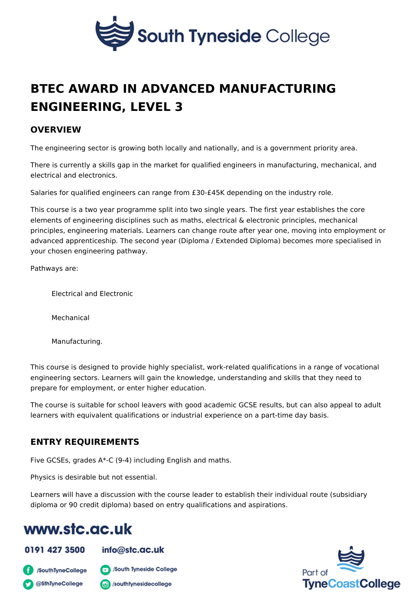# BTEC AWARD IN ADVANCED MANUFACTURING [ENGINEERING, LE](https://www.stc.ac.uk/professional-and-vocational-college/course/btec-award-advanced-manufacturing-engineering-level-3)VEL 3

#### OVERVIEW

The engineering sector is growing both locally and nationally, and is a governme

There is currently a skills gap in the market for qualified engineers in manufact electrical and electronics.

Salaries for qualified engineers can range from  $£30-E45K$  depending on the indu

This course is a two year programme split into two single years. The first year  $\epsilon$ elements of engineering disciplines such as maths, electrical & electronic princi principles, engineering materials. Learners can change route after year one, mo advanced apprenticeship. The second year (Diploma / Extended Diploma) become your chosen engineering pathway.

Pathways are:

Electrical and Electronic

Mechanical

Manufacturing.

This course is designed to provide highly specialist, work-related qualifications engineering sectors. Learners will gain the knowledge, understanding and skills prepare for employment, or enter higher education.

The course is suitable for school leavers with good academic GCSE results, but learners with equivalent qualifications or industrial experience on a part-time da

#### ENTRY REQUIREMENTS

Five GCSEs, grades A\*-C (9-4) including English and maths.

Physics is desirable but not essential.

Learners will have a discussion with the course leader to establish their individ diploma or 90 credit diploma) based on entry qualifications and aspirations.